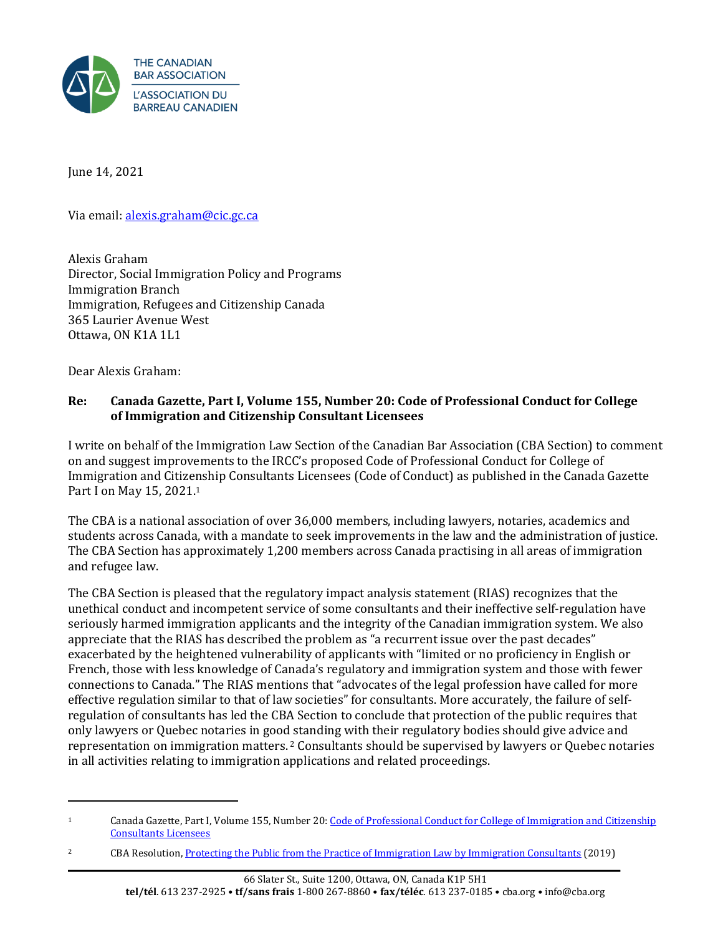

June 14, 2021

Via email: [alexis.graham@cic.gc.ca](mailto:alexis.graham@cic.gc.ca)

Alexis Graham Director, Social Immigration Policy and Programs Immigration Branch Immigration, Refugees and Citizenship Canada 365 Laurier Avenue West Ottawa, ON K1A 1L1

Dear Alexis Graham:

# **Re: Canada Gazette, Part I, Volume 155, Number 20: Code of Professional Conduct for College of Immigration and Citizenship Consultant Licensees**

I write on behalf of the Immigration Law Section of the Canadian Bar Association (CBA Section) to comment on and suggest improvements to the IRCC's proposed Code of Professional Conduct for College of Immigration and Citizenship Consultants Licensees (Code of Conduct) as published in the Canada Gazette Part I on May 15, 2021.<sup>1</sup>

The CBA is a national association of over 36,000 members, including lawyers, notaries, academics and students across Canada, with a mandate to seek improvements in the law and the administration of justice. The CBA Section has approximately 1,200 members across Canada practising in all areas of immigration and refugee law.

The CBA Section is pleased that the regulatory impact analysis statement (RIAS) recognizes that the unethical conduct and incompetent service of some consultants and their ineffective self-regulation have seriously harmed immigration applicants and the integrity of the Canadian immigration system. We also appreciate that the RIAS has described the problem as "a recurrent issue over the past decades" exacerbated by the heightened vulnerability of applicants with "limited or no proficiency in English or French, those with less knowledge of Canada's regulatory and immigration system and those with fewer connections to Canada." The RIAS mentions that "advocates of the legal profession have called for more effective regulation similar to that of law societies" for consultants. More accurately, the failure of selfregulation of consultants has led the CBA Section to conclude that protection of the public requires that only lawyers or Quebec notaries in good standing with their regulatory bodies should give advice and representation on immigration matters.<sup>2</sup> Consultants should be supervised by lawyers or Quebec notaries in all activities relating to immigration applications and related proceedings.

<sup>1</sup> Canada Gazette, Part I, Volume 155, Number 20[: Code of Professional Conduct for College of Immigration and Citizenship](https://gazette.gc.ca/rp-pr/p1/2021/2021-05-15/html/reg1-eng.html)  [Consultants Licensees](https://gazette.gc.ca/rp-pr/p1/2021/2021-05-15/html/reg1-eng.html)

<sup>&</sup>lt;sup>2</sup> CBA Resolution, [Protecting the Public from the Practice of Immigration Law by Immigration Consultants](https://www.cba.org/Our-Work/Resolutions/Resolutions/2020/Proteger-le-public-face-a-l%E2%80%99exercice-du-droit-de-l) (2019)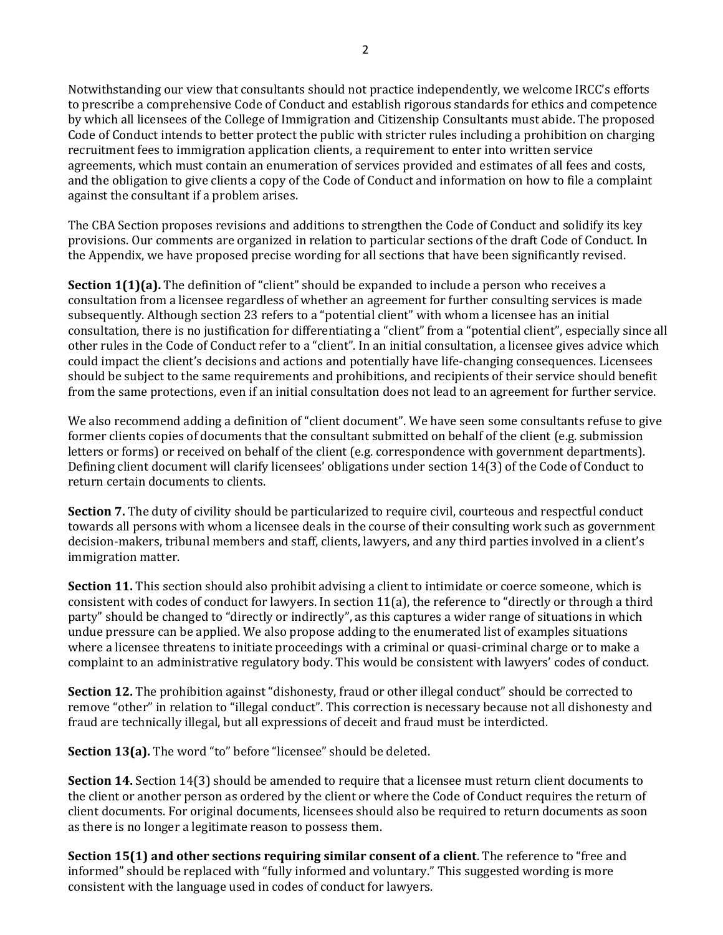Notwithstanding our view that consultants should not practice independently, we welcome IRCC's efforts to prescribe a comprehensive Code of Conduct and establish rigorous standards for ethics and competence by which all licensees of the College of Immigration and Citizenship Consultants must abide. The proposed Code of Conduct intends to better protect the public with stricter rules including a prohibition on charging recruitment fees to immigration application clients, a requirement to enter into written service agreements, which must contain an enumeration of services provided and estimates of all fees and costs, and the obligation to give clients a copy of the Code of Conduct and information on how to file a complaint against the consultant if a problem arises.

The CBA Section proposes revisions and additions to strengthen the Code of Conduct and solidify its key provisions. Our comments are organized in relation to particular sections of the draft Code of Conduct. In the Appendix, we have proposed precise wording for all sections that have been significantly revised.

**Section 1(1)(a).** The definition of "client" should be expanded to include a person who receives a consultation from a licensee regardless of whether an agreement for further consulting services is made subsequently. Although section 23 refers to a "potential client" with whom a licensee has an initial consultation, there is no justification for differentiating a "client" from a "potential client", especially since all other rules in the Code of Conduct refer to a "client". In an initial consultation, a licensee gives advice which could impact the client's decisions and actions and potentially have life-changing consequences. Licensees should be subject to the same requirements and prohibitions, and recipients of their service should benefit from the same protections, even if an initial consultation does not lead to an agreement for further service.

We also recommend adding a definition of "client document". We have seen some consultants refuse to give former clients copies of documents that the consultant submitted on behalf of the client (e.g. submission letters or forms) or received on behalf of the client (e.g. correspondence with government departments). Defining client document will clarify licensees' obligations under section 14(3) of the Code of Conduct to return certain documents to clients.

**Section 7.** The duty of civility should be particularized to require civil, courteous and respectful conduct towards all persons with whom a licensee deals in the course of their consulting work such as government decision-makers, tribunal members and staff, clients, lawyers, and any third parties involved in a client's immigration matter.

**Section 11.** This section should also prohibit advising a client to intimidate or coerce someone, which is consistent with codes of conduct for lawyers. In section 11(a), the reference to "directly or through a third party" should be changed to "directly or indirectly", as this captures a wider range of situations in which undue pressure can be applied. We also propose adding to the enumerated list of examples situations where a licensee threatens to initiate proceedings with a criminal or quasi-criminal charge or to make a complaint to an administrative regulatory body. This would be consistent with lawyers' codes of conduct.

**Section 12.** The prohibition against "dishonesty, fraud or other illegal conduct" should be corrected to remove "other" in relation to "illegal conduct". This correction is necessary because not all dishonesty and fraud are technically illegal, but all expressions of deceit and fraud must be interdicted.

**Section 13(a).** The word "to" before "licensee" should be deleted.

**Section 14.** Section 14(3) should be amended to require that a licensee must return client documents to the client or another person as ordered by the client or where the Code of Conduct requires the return of client documents. For original documents, licensees should also be required to return documents as soon as there is no longer a legitimate reason to possess them.

**Section 15(1) and other sections requiring similar consent of a client**. The reference to "free and informed" should be replaced with "fully informed and voluntary." This suggested wording is more consistent with the language used in codes of conduct for lawyers.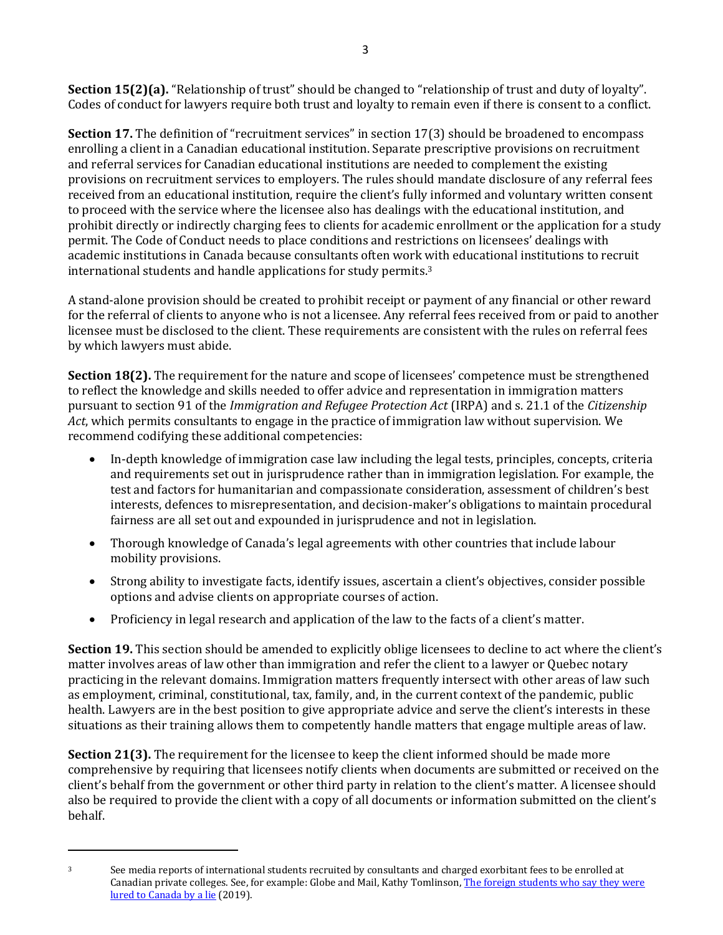**Section 15(2)(a).** "Relationship of trust" should be changed to "relationship of trust and duty of loyalty". Codes of conduct for lawyers require both trust and loyalty to remain even if there is consent to a conflict.

**Section 17.** The definition of "recruitment services" in section 17(3) should be broadened to encompass enrolling a client in a Canadian educational institution. Separate prescriptive provisions on recruitment and referral services for Canadian educational institutions are needed to complement the existing provisions on recruitment services to employers. The rules should mandate disclosure of any referral fees received from an educational institution, require the client's fully informed and voluntary written consent to proceed with the service where the licensee also has dealings with the educational institution, and prohibit directly or indirectly charging fees to clients for academic enrollment or the application for a study permit. The Code of Conduct needs to place conditions and restrictions on licensees' dealings with academic institutions in Canada because consultants often work with educational institutions to recruit international students and handle applications for study permits.<sup>3</sup>

A stand-alone provision should be created to prohibit receipt or payment of any financial or other reward for the referral of clients to anyone who is not a licensee. Any referral fees received from or paid to another licensee must be disclosed to the client. These requirements are consistent with the rules on referral fees by which lawyers must abide.

**Section 18(2).** The requirement for the nature and scope of licensees' competence must be strengthened to reflect the knowledge and skills needed to offer advice and representation in immigration matters pursuant to section 91 of the *Immigration and Refugee Protection Act* (IRPA) and s. 21.1 of the *Citizenship Act*, which permits consultants to engage in the practice of immigration law without supervision. We recommend codifying these additional competencies:

- In-depth knowledge of immigration case law including the legal tests, principles, concepts, criteria and requirements set out in jurisprudence rather than in immigration legislation. For example, the test and factors for humanitarian and compassionate consideration, assessment of children's best interests, defences to misrepresentation, and decision-maker's obligations to maintain procedural fairness are all set out and expounded in jurisprudence and not in legislation.
- Thorough knowledge of Canada's legal agreements with other countries that include labour mobility provisions.
- Strong ability to investigate facts, identify issues, ascertain a client's objectives, consider possible options and advise clients on appropriate courses of action.
- Proficiency in legal research and application of the law to the facts of a client's matter.

**Section 19.** This section should be amended to explicitly oblige licensees to decline to act where the client's matter involves areas of law other than immigration and refer the client to a lawyer or Quebec notary practicing in the relevant domains. Immigration matters frequently intersect with other areas of law such as employment, criminal, constitutional, tax, family, and, in the current context of the pandemic, public health. Lawyers are in the best position to give appropriate advice and serve the client's interests in these situations as their training allows them to competently handle matters that engage multiple areas of law.

**Section 21(3).** The requirement for the licensee to keep the client informed should be made more comprehensive by requiring that licensees notify clients when documents are submitted or received on the client's behalf from the government or other third party in relation to the client's matter. A licensee should also be required to provide the client with a copy of all documents or information submitted on the client's behalf.

<sup>3</sup> See media reports of international students recruited by consultants and charged exorbitant fees to be enrolled at Canadian private colleges. See, for example: Globe and Mail, Kathy Tomlinson, The foreign students who say they were [lured to Canada by a lie](https://www.theglobeandmail.com/canada/article-international-students-coming-to-private-colleges-say-they-were-duped/) (2019).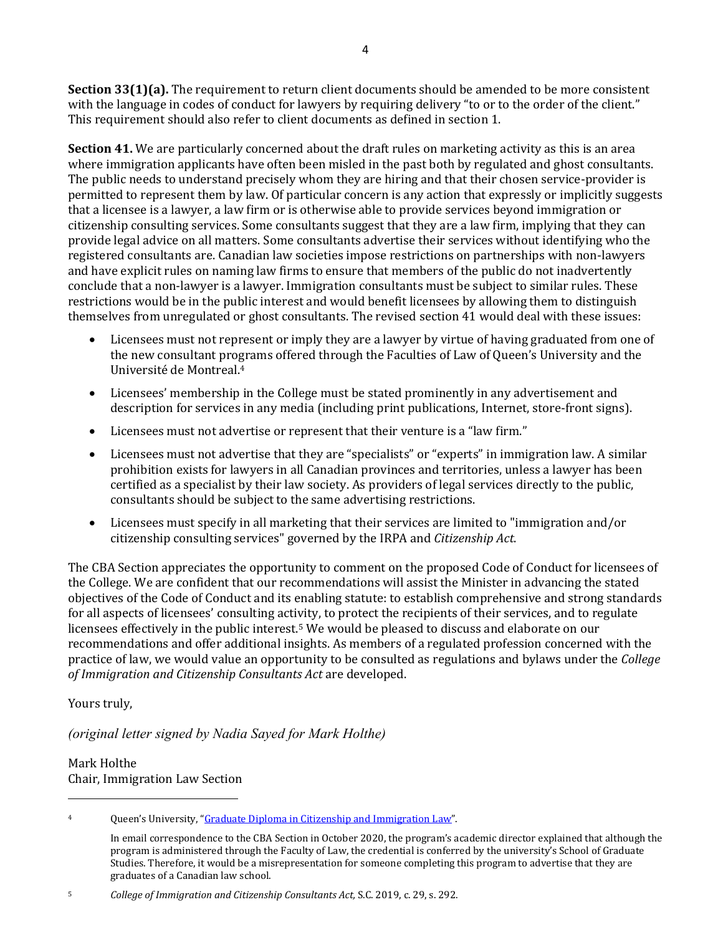**Section 33(1)(a).** The requirement to return client documents should be amended to be more consistent with the language in codes of conduct for lawyers by requiring delivery "to or to the order of the client." This requirement should also refer to client documents as defined in section 1.

**Section 41.** We are particularly concerned about the draft rules on marketing activity as this is an area where immigration applicants have often been misled in the past both by regulated and ghost consultants. The public needs to understand precisely whom they are hiring and that their chosen service-provider is permitted to represent them by law. Of particular concern is any action that expressly or implicitly suggests that a licensee is a lawyer, a law firm or is otherwise able to provide services beyond immigration or citizenship consulting services. Some consultants suggest that they are a law firm, implying that they can provide legal advice on all matters. Some consultants advertise their services without identifying who the registered consultants are. Canadian law societies impose restrictions on partnerships with non-lawyers and have explicit rules on naming law firms to ensure that members of the public do not inadvertently conclude that a non-lawyer is a lawyer. Immigration consultants must be subject to similar rules. These restrictions would be in the public interest and would benefit licensees by allowing them to distinguish themselves from unregulated or ghost consultants. The revised section 41 would deal with these issues:

- Licensees must not represent or imply they are a lawyer by virtue of having graduated from one of the new consultant programs offered through the Faculties of Law of Queen's University and the Université de Montreal.<sup>4</sup>
- Licensees' membership in the College must be stated prominently in any advertisement and description for services in any media (including print publications, Internet, store-front signs).
- Licensees must not advertise or represent that their venture is a "law firm."
- Licensees must not advertise that they are "specialists" or "experts" in immigration law. A similar prohibition exists for lawyers in all Canadian provinces and territories, unless a lawyer has been certified as a specialist by their law society. As providers of legal services directly to the public, consultants should be subject to the same advertising restrictions.
- Licensees must specify in all marketing that their services are limited to "immigration and/or citizenship consulting services" governed by the IRPA and *Citizenship Act*.

The CBA Section appreciates the opportunity to comment on the proposed Code of Conduct for licensees of the College. We are confident that our recommendations will assist the Minister in advancing the stated objectives of the Code of Conduct and its enabling statute: to establish comprehensive and strong standards for all aspects of licensees' consulting activity, to protect the recipients of their services, and to regulate licensees effectively in the public interest.<sup>5</sup> We would be pleased to discuss and elaborate on our recommendations and offer additional insights. As members of a regulated profession concerned with the practice of law, we would value an opportunity to be consulted as regulations and bylaws under the *College of Immigration and Citizenship Consultants Act* are developed.

Yours truly,

*(original letter signed by Nadia Sayed for Mark Holthe)*

Mark Holthe Chair, Immigration Law Section

<sup>4</sup> Queen's University, "[Graduate Diploma in Citizenship and Immigration Law](https://www.queensu.ca/sgs/programs-degrees/immigration-and-citizenship-law)".

In email correspondence to the CBA Section in October 2020, the program's academic director explained that although the program is administered through the Faculty of Law, the credential is conferred by the university's School of Graduate Studies. Therefore, it would be a misrepresentation for someone completing this program to advertise that they are graduates of a Canadian law school.

<sup>5</sup> *College of Immigration and Citizenship Consultants Act,* S.C. 2019, c. 29, s. 292.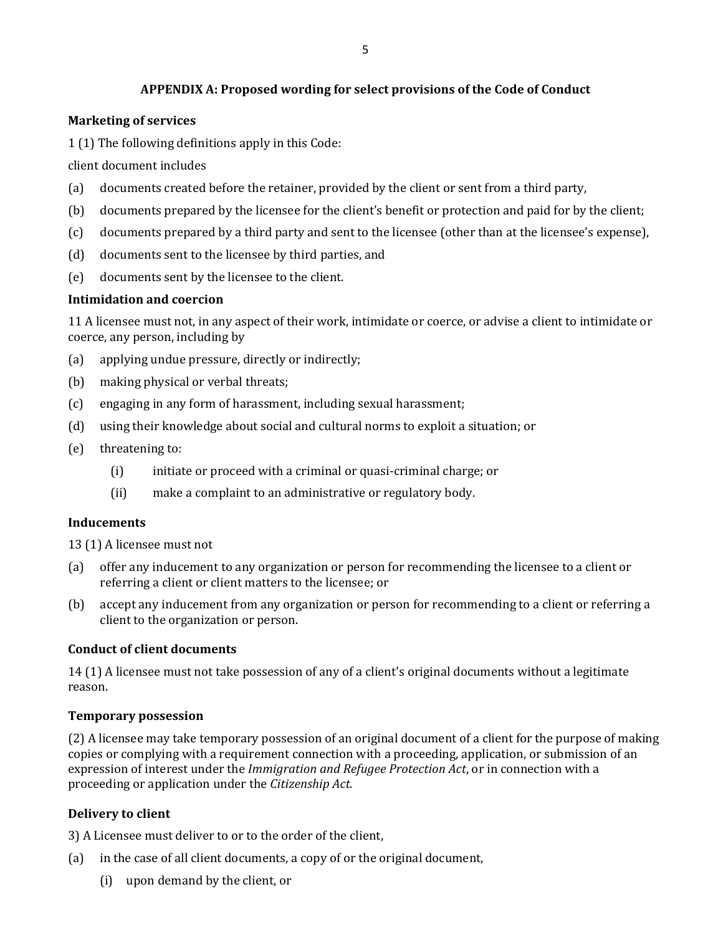# **APPENDIX A: Proposed wording for select provisions of the Code of Conduct**

## **Marketing of services**

1 (1) The following definitions apply in this Code:

client document includes

- (a) documents created before the retainer, provided by the client or sent from a third party,
- (b) documents prepared by the licensee for the client's benefit or protection and paid for by the client;
- (c) documents prepared by a third party and sent to the licensee (other than at the licensee's expense),
- (d) documents sent to the licensee by third parties, and
- (e) documents sent by the licensee to the client.

## **Intimidation and coercion**

11 A licensee must not, in any aspect of their work, intimidate or coerce, or advise a client to intimidate or coerce, any person, including by

- (a) applying undue pressure, directly or indirectly;
- (b) making physical or verbal threats;
- (c) engaging in any form of harassment, including sexual harassment;
- (d) using their knowledge about social and cultural norms to exploit a situation; or
- (e) threatening to:
	- (i) initiate or proceed with a criminal or quasi-criminal charge; or
	- (ii) make a complaint to an administrative or regulatory body.

### **Inducements**

13 (1) A licensee must not

- (a) offer any inducement to any organization or person for recommending the licensee to a client or referring a client or client matters to the licensee; or
- (b) accept any inducement from any organization or person for recommending to a client or referring a client to the organization or person.

### **Conduct of client documents**

14 (1) A licensee must not take possession of any of a client's original documents without a legitimate reason.

### **Temporary possession**

(2) A licensee may take temporary possession of an original document of a client for the purpose of making copies or complying with a requirement connection with a proceeding, application, or submission of an expression of interest under the *Immigration and Refugee Protection Act*, or in connection with a proceeding or application under the *Citizenship Act*.

# **Delivery to client**

3) A Licensee must deliver to or to the order of the client,

- (a) in the case of all client documents, a copy of or the original document,
	- (i) upon demand by the client, or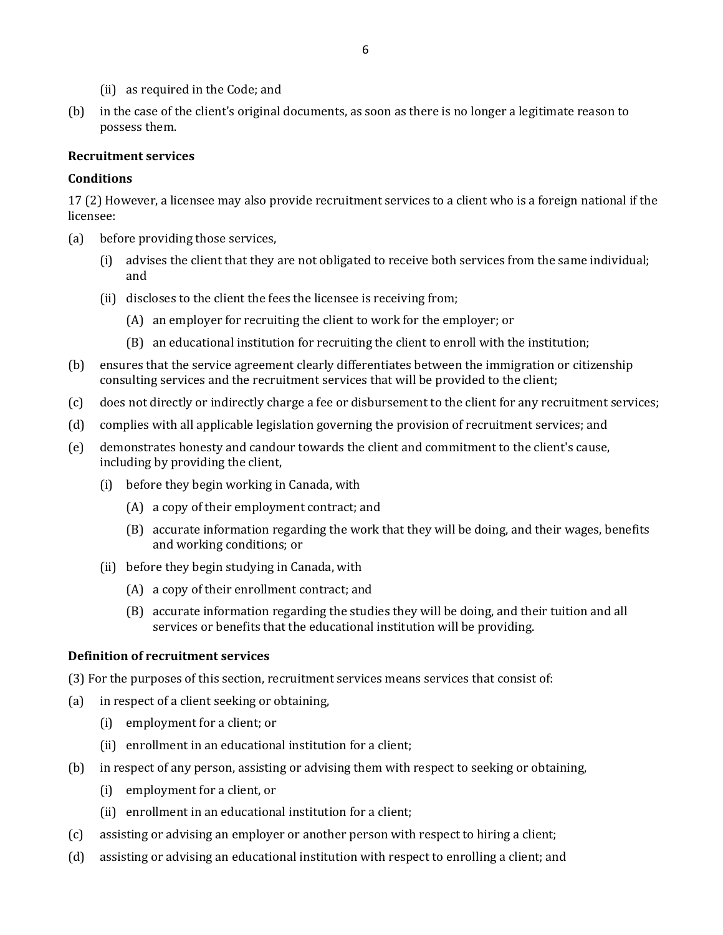- (ii) as required in the Code; and
- (b) in the case of the client's original documents, as soon as there is no longer a legitimate reason to possess them.

#### **Recruitment services**

#### **Conditions**

17 (2) However, a licensee may also provide recruitment services to a client who is a foreign national if the licensee:

- (a) before providing those services,
	- (i) advises the client that they are not obligated to receive both services from the same individual; and
	- (ii) discloses to the client the fees the licensee is receiving from;
		- (A) an employer for recruiting the client to work for the employer; or
		- (B) an educational institution for recruiting the client to enroll with the institution;
- (b) ensures that the service agreement clearly differentiates between the immigration or citizenship consulting services and the recruitment services that will be provided to the client;
- (c) does not directly or indirectly charge a fee or disbursement to the client for any recruitment services;
- (d) complies with all applicable legislation governing the provision of recruitment services; and
- (e) demonstrates honesty and candour towards the client and commitment to the client's cause, including by providing the client,
	- (i) before they begin working in Canada, with
		- (A) a copy of their employment contract; and
		- (B) accurate information regarding the work that they will be doing, and their wages, benefits and working conditions; or
	- (ii) before they begin studying in Canada, with
		- (A) a copy of their enrollment contract; and
		- (B) accurate information regarding the studies they will be doing, and their tuition and all services or benefits that the educational institution will be providing.

### **Definition of recruitment services**

(3) For the purposes of this section, recruitment services means services that consist of:

- (a) in respect of a client seeking or obtaining,
	- (i) employment for a client; or
	- (ii) enrollment in an educational institution for a client;
- (b) in respect of any person, assisting or advising them with respect to seeking or obtaining,
	- (i) employment for a client, or
	- (ii) enrollment in an educational institution for a client;
- (c) assisting or advising an employer or another person with respect to hiring a client;
- (d) assisting or advising an educational institution with respect to enrolling a client; and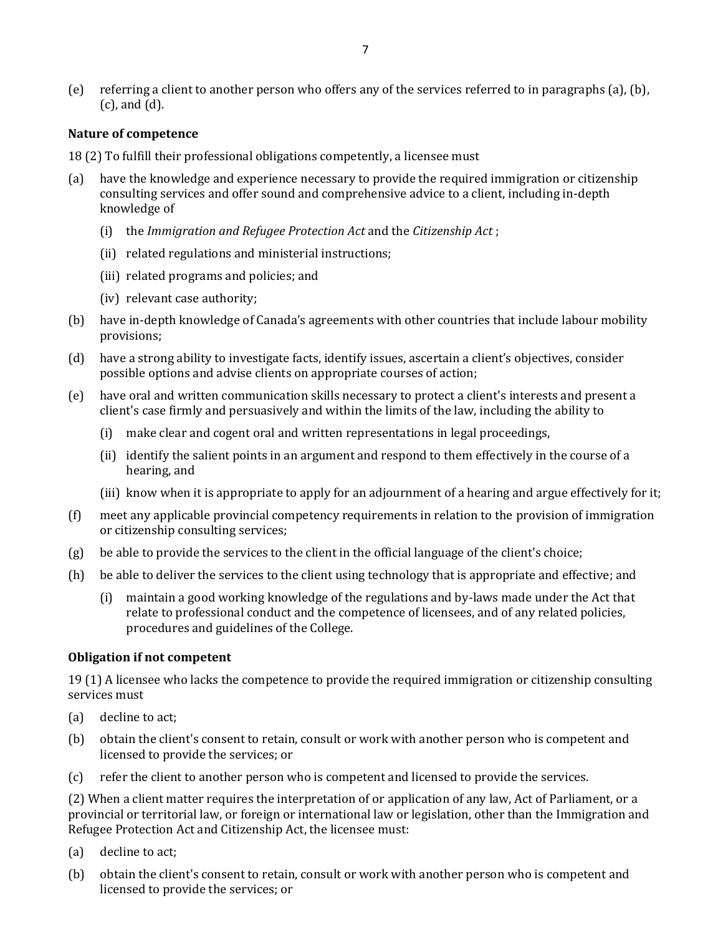(e) referring a client to another person who offers any of the services referred to in paragraphs (a), (b), (c), and (d).

#### **Nature of competence**

- 18 (2) To fulfill their professional obligations competently, a licensee must
- (a) have the knowledge and experience necessary to provide the required immigration or citizenship consulting services and offer sound and comprehensive advice to a client, including in-depth knowledge of
	- (i) the *Immigration and Refugee Protection Act* and the *Citizenship Act* ;
	- (ii) related regulations and ministerial instructions;
	- (iii) related programs and policies; and
	- (iv) relevant case authority;
- (b) have in-depth knowledge of Canada's agreements with other countries that include labour mobility provisions;
- (d) have a strong ability to investigate facts, identify issues, ascertain a client's objectives, consider possible options and advise clients on appropriate courses of action;
- (e) have oral and written communication skills necessary to protect a client's interests and present a client's case firmly and persuasively and within the limits of the law, including the ability to
	- (i) make clear and cogent oral and written representations in legal proceedings,
	- (ii) identify the salient points in an argument and respond to them effectively in the course of a hearing, and
	- (iii) know when it is appropriate to apply for an adjournment of a hearing and argue effectively for it;
- (f) meet any applicable provincial competency requirements in relation to the provision of immigration or citizenship consulting services;
- (g) be able to provide the services to the client in the official language of the client's choice;
- (h) be able to deliver the services to the client using technology that is appropriate and effective; and
	- (i) maintain a good working knowledge of the regulations and by-laws made under the Act that relate to professional conduct and the competence of licensees, and of any related policies, procedures and guidelines of the College.

#### **Obligation if not competent**

19 (1) A licensee who lacks the competence to provide the required immigration or citizenship consulting services must

- (a) decline to act;
- (b) obtain the client's consent to retain, consult or work with another person who is competent and licensed to provide the services; or
- (c) refer the client to another person who is competent and licensed to provide the services.

(2) When a client matter requires the interpretation of or application of any law, Act of Parliament, or a provincial or territorial law, or foreign or international law or legislation, other than the Immigration and Refugee Protection Act and Citizenship Act, the licensee must:

- (a) decline to act;
- (b) obtain the client's consent to retain, consult or work with another person who is competent and licensed to provide the services; or